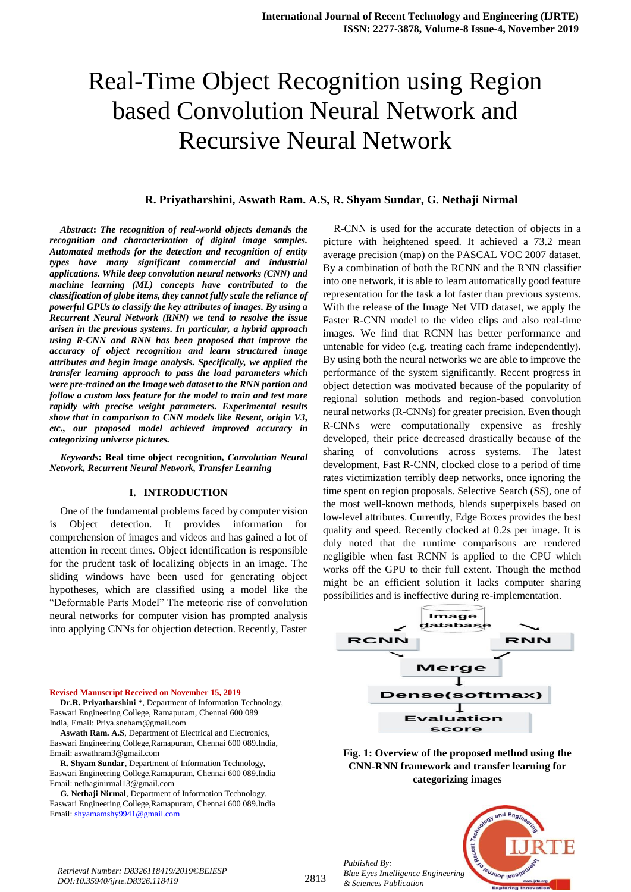### **R. Priyatharshini, Aswath Ram. A.S, R. Shyam Sundar, G. Nethaji Nirmal**

*Abstract***:** *The recognition of real-world objects demands the recognition and characterization of digital image samples. Automated methods for the detection and recognition of entity types have many significant commercial and industrial applications. While deep convolution neural networks (CNN) and machine learning (ML) concepts have contributed to the classification of globe items, they cannot fully scale the reliance of powerful GPUs to classify the key attributes of images. By using a Recurrent Neural Network (RNN) we tend to resolve the issue arisen in the previous systems. In particular, a hybrid approach using R-CNN and RNN has been proposed that improve the accuracy of object recognition and learn structured image attributes and begin image analysis. Specifically, we applied the transfer learning approach to pass the load parameters which were pre-trained on the Image web dataset to the RNN portion and follow a custom loss feature for the model to train and test more rapidly with precise weight parameters. Experimental results show that in comparison to CNN models like Resent, origin V3, etc., our proposed model achieved improved accuracy in categorizing universe pictures.*

*Keywords***: Real time object recognition***, Convolution Neural Network, Recurrent Neural Network, Transfer Learning*

#### **I. INTRODUCTION**

One of the fundamental problems faced by computer vision is Object detection. It provides information for comprehension of images and videos and has gained a lot of attention in recent times. Object identification is responsible for the prudent task of localizing objects in an image. The sliding windows have been used for generating object hypotheses, which are classified using a model like the "Deformable Parts Model" The meteoric rise of convolution neural networks for computer vision has prompted analysis into applying CNNs for objection detection. Recently, Faster

R-CNN is used for the accurate detection of objects in a picture with heightened speed. It achieved a 73.2 mean average precision (map) on the PASCAL VOC 2007 dataset. By a combination of both the RCNN and the RNN classifier into one network, it is able to learn automatically good feature representation for the task a lot faster than previous systems. With the release of the Image Net VID dataset, we apply the Faster R-CNN model to the video clips and also real-time images. We find that RCNN has better performance and untenable for video (e.g. treating each frame independently). By using both the neural networks we are able to improve the performance of the system significantly. Recent progress in object detection was motivated because of the popularity of regional solution methods and region-based convolution neural networks (R-CNNs) for greater precision. Even though R-CNNs were computationally expensive as freshly developed, their price decreased drastically because of the sharing of convolutions across systems. The latest development, Fast R-CNN, clocked close to a period of time rates victimization terribly deep networks, once ignoring the time spent on region proposals. Selective Search (SS), one of the most well-known methods, blends superpixels based on low-level attributes. Currently, Edge Boxes provides the best quality and speed. Recently clocked at 0.2s per image. It is duly noted that the runtime comparisons are rendered negligible when fast RCNN is applied to the CPU which works off the GPU to their full extent. Though the method might be an efficient solution it lacks computer sharing possibilities and is ineffective during re-implementation.



**Fig. 1: Overview of the proposed method using the CNN-RNN framework and transfer learning for categorizing images**

Email: nethaginirmal13@gmail.com **G. Nethaji Nirmal**, Department of Information Technology, Easwari Engineering College,Ramapuram, Chennai 600 089.India Email[: shyamamshy9941@gmail.com](mailto:shyamamshy9941@gmail.com)

**R. Shyam Sundar**, Department of Information Technology, Easwari Engineering College,Ramapuram, Chennai 600 089.India

**Revised Manuscript Received on November 15, 2019**

India, Email: Priya.sneham@gmail.com

Email: aswathram3@gmail.com

**Dr.R. Priyatharshini \***, Department of Information Technology, Easwari Engineering College, Ramapuram, Chennai 600 089

**Aswath Ram. A.S**, Department of Electrical and Electronics, Easwari Engineering College,Ramapuram, Chennai 600 089.India,

> *Published By: Blue Eyes Intelligence Engineering & Sciences Publication*



*Retrieval Number: D8326118419/2019©BEIESP DOI:10.35940/ijrte.D8326.118419*

## 2813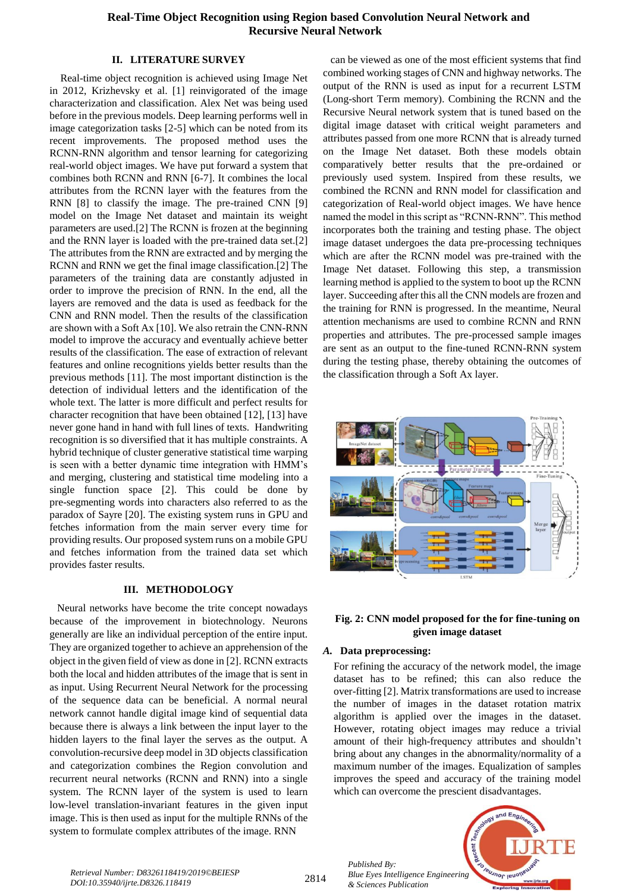## **II. LITERATURE SURVEY**

Real-time object recognition is achieved using Image Net in 2012, Krizhevsky et al. [1] reinvigorated of the image characterization and classification. Alex Net was being used before in the previous models. Deep learning performs well in image categorization tasks [2-5] which can be noted from its recent improvements. The proposed method uses the RCNN-RNN algorithm and tensor learning for categorizing real-world object images. We have put forward a system that combines both RCNN and RNN [6-7]. It combines the local attributes from the RCNN layer with the features from the RNN [8] to classify the image. The pre-trained CNN [9] model on the Image Net dataset and maintain its weight parameters are used.[2] The RCNN is frozen at the beginning and the RNN layer is loaded with the pre-trained data set.[2] The attributes from the RNN are extracted and by merging the RCNN and RNN we get the final image classification.[2] The parameters of the training data are constantly adjusted in order to improve the precision of RNN. In the end, all the layers are removed and the data is used as feedback for the CNN and RNN model. Then the results of the classification are shown with a Soft Ax [10]. We also retrain the CNN-RNN model to improve the accuracy and eventually achieve better results of the classification. The ease of extraction of relevant features and online recognitions yields better results than the previous methods [11]. The most important distinction is the detection of individual letters and the identification of the whole text. The latter is more difficult and perfect results for character recognition that have been obtained [12], [13] have never gone hand in hand with full lines of texts. Handwriting recognition is so diversified that it has multiple constraints. A hybrid technique of cluster generative statistical time warping is seen with a better dynamic time integration with HMM"s and merging, clustering and statistical time modeling into a single function space [2]. This could be done by pre-segmenting words into characters also referred to as the paradox of Sayre [20]. The existing system runs in GPU and fetches information from the main server every time for providing results. Our proposed system runs on a mobile GPU and fetches information from the trained data set which provides faster results.

# **III. METHODOLOGY**

Neural networks have become the trite concept nowadays because of the improvement in biotechnology. Neurons generally are like an individual perception of the entire input. They are organized together to achieve an apprehension of the object in the given field of view as done in [2]. RCNN extracts both the local and hidden attributes of the image that is sent in as input. Using Recurrent Neural Network for the processing of the sequence data can be beneficial. A normal neural network cannot handle digital image kind of sequential data because there is always a link between the input layer to the hidden layers to the final layer the serves as the output. A convolution-recursive deep model in 3D objects classification and categorization combines the Region convolution and recurrent neural networks (RCNN and RNN) into a single system. The RCNN layer of the system is used to learn low-level translation-invariant features in the given input image. This is then used as input for the multiple RNNs of the system to formulate complex attributes of the image. RNN

can be viewed as one of the most efficient systems that find combined working stages of CNN and highway networks. The output of the RNN is used as input for a recurrent LSTM (Long-short Term memory). Combining the RCNN and the Recursive Neural network system that is tuned based on the digital image dataset with critical weight parameters and attributes passed from one more RCNN that is already turned on the Image Net dataset. Both these models obtain comparatively better results that the pre-ordained or previously used system. Inspired from these results, we combined the RCNN and RNN model for classification and categorization of Real-world object images. We have hence named the model in this script as "RCNN-RNN". This method incorporates both the training and testing phase. The object image dataset undergoes the data pre-processing techniques which are after the RCNN model was pre-trained with the Image Net dataset. Following this step, a transmission learning method is applied to the system to boot up the RCNN layer. Succeeding after this all the CNN models are frozen and the training for RNN is progressed. In the meantime, Neural attention mechanisms are used to combine RCNN and RNN properties and attributes. The pre-processed sample images are sent as an output to the fine-tuned RCNN-RNN system during the testing phase, thereby obtaining the outcomes of the classification through a Soft Ax layer.



## **Fig. 2: CNN model proposed for the for fine-tuning on given image dataset**

## *A.* **Data preprocessing:**

*Published By:*

*& Sciences Publication* 

For refining the accuracy of the network model, the image dataset has to be refined; this can also reduce the over-fitting [2]. Matrix transformations are used to increase the number of images in the dataset rotation matrix algorithm is applied over the images in the dataset. However, rotating object images may reduce a trivial amount of their high-frequency attributes and shouldn"t bring about any changes in the abnormality/normality of a maximum number of the images. Equalization of samples improves the speed and accuracy of the training model which can overcome the prescient disadvantages.

**Teusnor leno** *Blue Eyes Intelligence Engineering* 

<sup>2814</sup> *Retrieval Number: D8326118419/2019©BEIESP DOI:10.35940/ijrte.D8326.118419*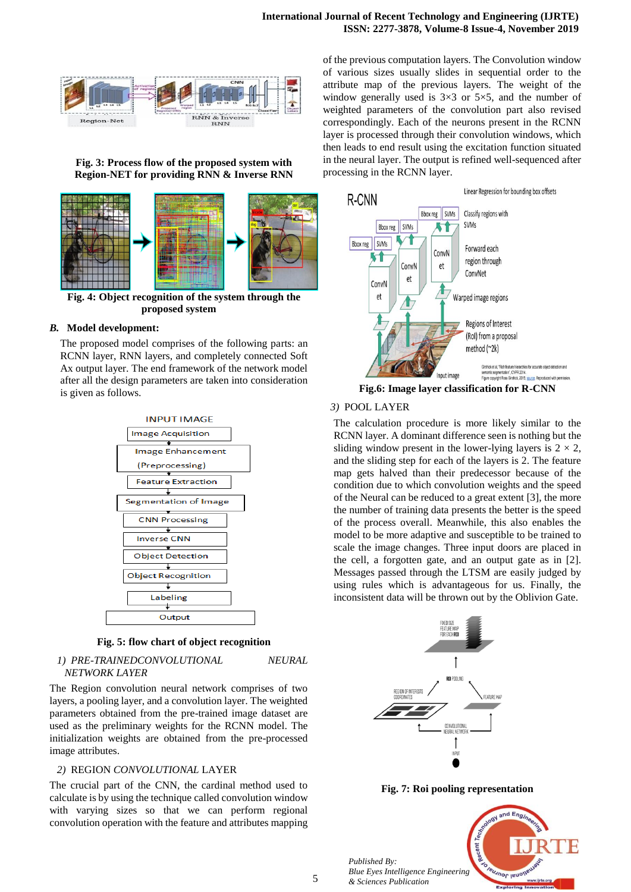

**Fig. 3: Process flow of the proposed system with Region-NET for providing RNN & Inverse RNN**



**Fig. 4: Object recognition of the system through the proposed system**

#### *B.* **Model development:**

The proposed model comprises of the following parts: an RCNN layer, RNN layers, and completely connected Soft Ax output layer. The end framework of the network model after all the design parameters are taken into consideration is given as follows.



**Fig. 5: flow chart of object recognition**

*1) PRE-TRAINEDCONVOLUTIONAL NEURAL NETWORK LAYER* 

The Region convolution neural network comprises of two layers, a pooling layer, and a convolution layer. The weighted parameters obtained from the pre-trained image dataset are used as the preliminary weights for the RCNN model. The initialization weights are obtained from the pre-processed image attributes.

#### *2)* REGION *CONVOLUTIONAL* LAYER

The crucial part of the CNN, the cardinal method used to calculate is by using the technique called convolution window with varying sizes so that we can perform regional convolution operation with the feature and attributes mapping of the previous computation layers. The Convolution window of various sizes usually slides in sequential order to the attribute map of the previous layers. The weight of the window generally used is  $3\times3$  or  $5\times5$ , and the number of weighted parameters of the convolution part also revised correspondingly. Each of the neurons present in the RCNN layer is processed through their convolution windows, which then leads to end result using the excitation function situated in the neural layer. The output is refined well-sequenced after processing in the RCNN layer.



**Fig.6: Image layer classification for R-CNN**

### *3)* POOL LAYER

The calculation procedure is more likely similar to the RCNN layer. A dominant difference seen is nothing but the sliding window present in the lower-lying layers is  $2 \times 2$ , and the sliding step for each of the layers is 2. The feature map gets halved than their predecessor because of the condition due to which convolution weights and the speed of the Neural can be reduced to a great extent [3], the more the number of training data presents the better is the speed of the process overall. Meanwhile, this also enables the model to be more adaptive and susceptible to be trained to scale the image changes. Three input doors are placed in the cell, a forgotten gate, and an output gate as in [2]. Messages passed through the LTSM are easily judged by using rules which is advantageous for us. Finally, the inconsistent data will be thrown out by the Oblivion Gate.



**Fig. 7: Roi pooling representation**



*Published By:*

*& Sciences Publication*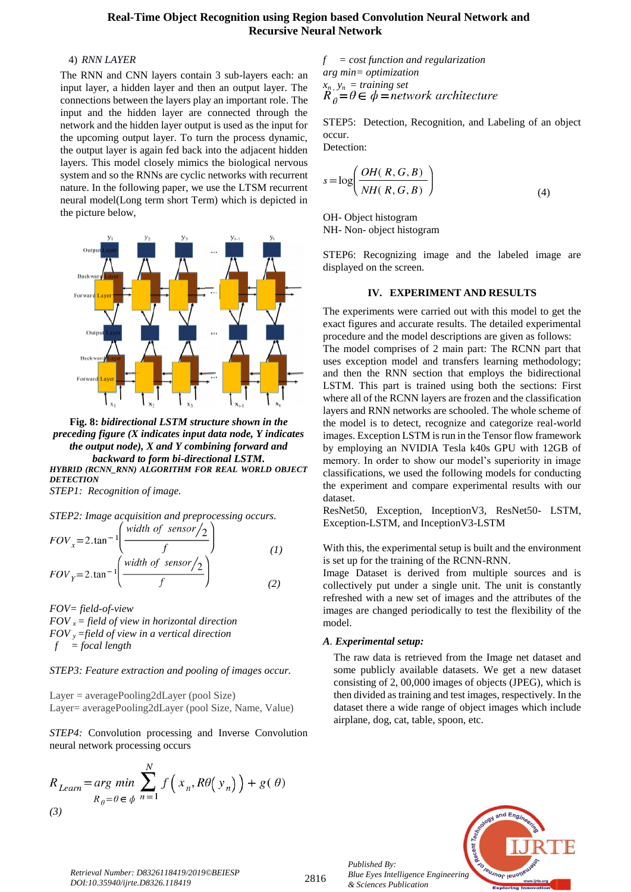## 4) *RNN LAYER*

The RNN and CNN layers contain 3 sub-layers each: an input layer, a hidden layer and then an output layer. The connections between the layers play an important role. The input and the hidden layer are connected through the network and the hidden layer output is used as the input for the upcoming output layer. To turn the process dynamic, the output layer is again fed back into the adjacent hidden layers. This model closely mimics the biological nervous system and so the RNNs are cyclic networks with recurrent nature. In the following paper, we use the LTSM recurrent neural model(Long term short Term) which is depicted in the picture below,



**Fig. 8:** *bidirectional LSTM structure shown in the preceding figure (X indicates input data node, Y indicates the output node), X and Y combining forward and backward to form bi-directional LSTM. HYBRID (RCNN\_RNN) ALGORITHM FOR REAL WORLD OBJECT DETECTION*

*STEP1: Recognition of image.*

$$
STEP2: Image acquisition and preprocessing occurs.
$$
  
\n
$$
FOV_x = 2. \tan^{-1} \left( \frac{\text{width of sensor/2}}{f} \right)
$$
  
\n
$$
FOV_y = 2. \tan^{-1} \left( \frac{\text{width of sensor/2}}{f} \right)
$$
  
\n(1)  
\n(2)

*FOV= field-of-view FOV x = field of view in horizontal direction FOV y =field of view in a vertical direction f = focal length*

#### *STEP3: Feature extraction and pooling of images occur.*

Layer = averagePooling2dLayer (pool Size) Layer= averagePooling2dLayer (pool Size, Name, Value)

*STEP4:* Convolution processing and Inverse Convolution neural network processing occurs

$$
R_{Learn} = \underset{R_{\theta} = \theta \in \phi}{\arg \ min} \sum_{n=1}^{N} f\left(x_n, R\theta\left(y_n\right)\right) + g(\theta)
$$
\n<sup>(3)</sup>

$$
f = cost function and regularizationarg min = optimizationxn, yn = training setR0= $\theta \in \phi$ =network architecture
$$

STEP5: Detection, Recognition, and Labeling of an object occur.

Detection:

$$
s = \log\left(\frac{OH(R, G, B)}{NH(R, G, B)}\right)
$$
\n(4)

OH- Object histogram NH- Non- object histogram

STEP6: Recognizing image and the labeled image are displayed on the screen.

#### **IV. EXPERIMENT AND RESULTS**

The experiments were carried out with this model to get the exact figures and accurate results. The detailed experimental procedure and the model descriptions are given as follows:

The model comprises of 2 main part: The RCNN part that uses exception model and transfers learning methodology; and then the RNN section that employs the bidirectional LSTM. This part is trained using both the sections: First where all of the RCNN layers are frozen and the classification layers and RNN networks are schooled. The whole scheme of the model is to detect, recognize and categorize real-world images. Exception LSTM is run in the Tensor flow framework by employing an NVIDIA Tesla k40s GPU with 12GB of memory. In order to show our model's superiority in image classifications, we used the following models for conducting the experiment and compare experimental results with our dataset.

ResNet50, Exception, InceptionV3, ResNet50- LSTM, Exception-LSTM, and InceptionV3-LSTM

With this, the experimental setup is built and the environment is set up for the training of the RCNN-RNN.

Image Dataset is derived from multiple sources and is collectively put under a single unit. The unit is constantly refreshed with a new set of images and the attributes of the images are changed periodically to test the flexibility of the model.

#### *A. Experimental setup:*

*Published By:*

*& Sciences Publication* 

The raw data is retrieved from the Image net dataset and some publicly available datasets. We get a new dataset consisting of 2, 00,000 images of objects (JPEG), which is then divided as training and test images, respectively. In the dataset there a wide range of object images which include airplane, dog, cat, table, spoon, etc.



<sup>2816</sup> *Retrieval Number: D8326118419/2019©BEIESP DOI:10.35940/ijrte.D8326.118419*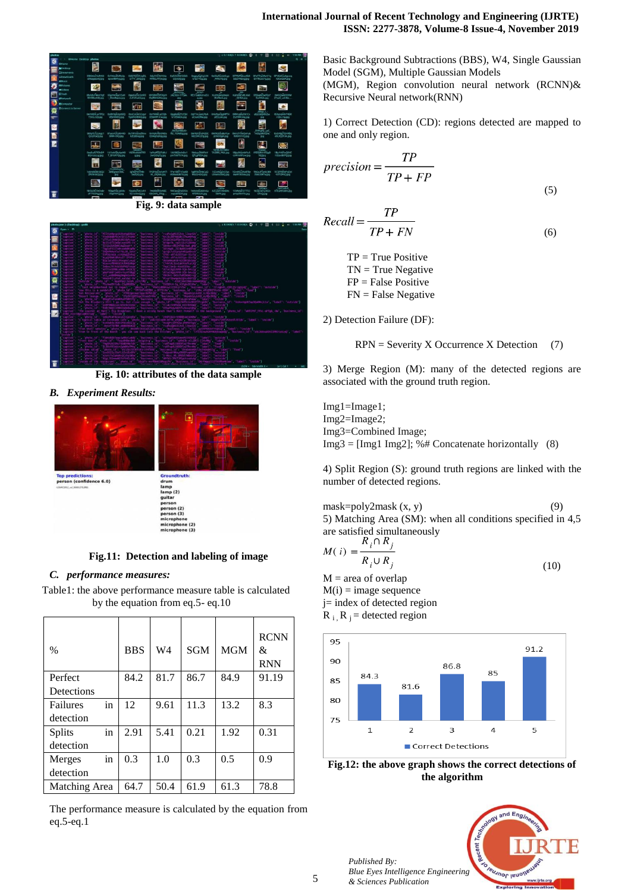

**Fig. 9: data sample**



**Fig. 10: attributes of the data sample**

*B. Experiment Results:*



**Fig.11: Detection and labeling of image**

## *C. performance measures:*

Table1: the above performance measure table is calculated by the equation from eq.5- eq.10

| $\frac{0}{0}$       | <b>BBS</b> | W4   | <b>SGM</b> | <b>MGM</b> | <b>RCNN</b><br>&<br><b>RNN</b> |
|---------------------|------------|------|------------|------------|--------------------------------|
| Perfect             | 84.2       | 81.7 | 86.7       | 84.9       | 91.19                          |
| Detections          |            |      |            |            |                                |
| in<br>Failures      | 12         | 9.61 | 11.3       | 13.2       | 8.3                            |
| detection           |            |      |            |            |                                |
| in<br><b>Splits</b> | 2.91       | 5.41 | 0.21       | 1.92       | 0.31                           |
| detection           |            |      |            |            |                                |
| in<br>Merges        | 0.3        | 1.0  | 0.3        | 0.5        | 0.9                            |
| detection           |            |      |            |            |                                |
| Matching Area       | 64.7       | 50.4 | 61.9       | 61.3       | 78.8                           |

The performance measure is calculated by the equation from eq.5-eq.1

Basic Background Subtractions (BBS), W4, Single Gaussian Model (SGM), Multiple Gaussian Models (MGM), Region convolution neural network (RCNN)& Recursive Neural network(RNN)

1) Correct Detection (CD): regions detected are mapped to one and only region.

$$
precision = \frac{TP}{TP + FP}
$$
\n(5)

$$
Recall = \frac{TP}{TP + FN}
$$
\n<sup>(6)</sup>

 $TP = True Positive$  $TN = True Negative$  FP = False Positive FN = False Negative

2) Detection Failure (DF):

 $RPN =$  Severity X Occurrence X Detection (7)

3) Merge Region (M): many of the detected regions are associated with the ground truth region.

Img1=Image1; Img2=Image2; Img3=Combined Image;  $Img3 = [Img1 Img2]; % # Concatenate horizontally (8)$ 

4) Split Region (S): ground truth regions are linked with the number of detected regions.

mask=poly2mask  $(x, y)$  (9) 5) Matching Area (SM): when all conditions specified in 4,5 are satisfied simultaneously

$$
M(i) = \frac{R_i \cap R_j}{R_i \cup R_j} \tag{10}
$$

 $M =$  area of overlap  $M(i) = image sequence$ j= index of detected region  $R_i$ ,  $R_i$  = detected region



**Fig.12: the above graph shows the correct detections of the algorithm**



*Published By: Blue Eyes Intelligence Engineering & Sciences Publication*